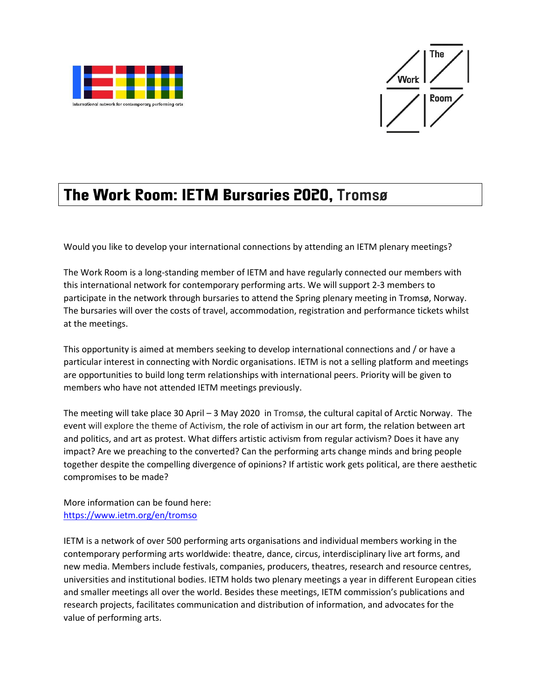



## The Work Room: IETM Bursaries 2020, Tromsø

Would you like to develop your international connections by attending an IETM plenary meetings?

The Work Room is a long-standing member of IETM and have regularly connected our members with this international network for contemporary performing arts. We will support 2-3 members to participate in the network through bursaries to attend the Spring plenary meeting in Tromsø, Norway. The bursaries will over the costs of travel, accommodation, registration and performance tickets whilst at the meetings.

This opportunity is aimed at members seeking to develop international connections and / or have a particular interest in connecting with Nordic organisations. IETM is not a selling platform and meetings are opportunities to build long term relationships with international peers. Priority will be given to members who have not attended IETM meetings previously.

The meeting will take place 30 April – 3 May 2020 in Tromsø, the cultural capital of Arctic Norway. The event will explore the theme of Activism, the role of activism in our art form, the relation between art and politics, and art as protest. What differs artistic activism from regular activism? Does it have any impact? Are we preaching to the converted? Can the performing arts change minds and bring people together despite the compelling divergence of opinions? If artistic work gets political, are there aesthetic compromises to be made?

More information can be found here: <https://www.ietm.org/en/tromso>

IETM is a network of over 500 performing arts organisations and individual members working in the contemporary performing arts worldwide: theatre, dance, circus, interdisciplinary live art forms, and new media. Members include festivals, companies, producers, theatres, research and resource centres, universities and institutional bodies. IETM holds two plenary meetings a year in different European cities and smaller meetings all over the world. Besides these meetings, IETM commission's publications and research projects, facilitates communication and distribution of information, and advocates for the value of performing arts.